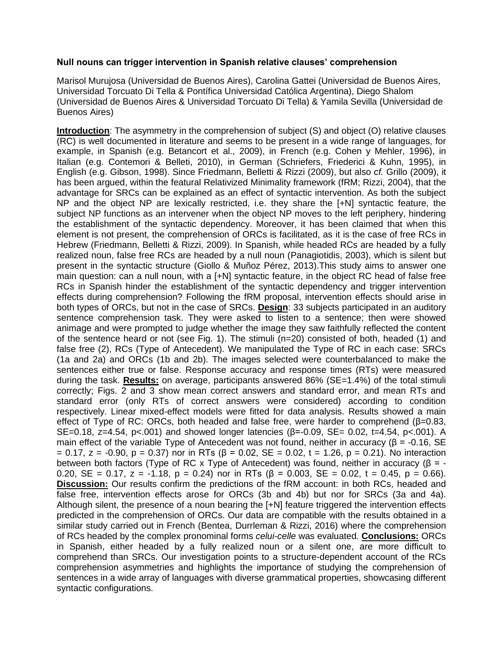## **Null nouns can trigger intervention in Spanish relative clauses' comprehension**

Marisol Murujosa (Universidad de Buenos Aires), Carolina Gattei (Universidad de Buenos Aires, Universidad Torcuato Di Tella & Pontífica Universidad Católica Argentina), Diego Shalom (Universidad de Buenos Aires & Universidad Torcuato Di Tella) & Yamila Sevilla (Universidad de Buenos Aires)

**Introduction**: The asymmetry in the comprehension of subject (S) and object (O) relative clauses (RC) is well documented in literature and seems to be present in a wide range of languages, for example, in Spanish (e.g. Betancort et al., 2009), in French (e.g. Cohen y Mehler, 1996), in Italian (e.g. Contemori & Belleti, 2010), in German (Schriefers, Friederici & Kuhn, 1995), in English (e.g. Gibson, 1998). Since Friedmann, Belletti & Rizzi (2009), but also *cf.* Grillo (2009), it has been argued, within the featural Relativized Minimality framework (fRM; Rizzi, 2004), that the advantage for SRCs can be explained as an effect of syntactic intervention. As both the subject NP and the object NP are lexically restricted, i.e. they share the [+N] syntactic feature, the subject NP functions as an intervener when the object NP moves to the left periphery, hindering the establishment of the syntactic dependency. Moreover, it has been claimed that when this element is not present, the comprehension of ORCs is facilitated, as it is the case of free RCs in Hebrew (Friedmann, Belletti & Rizzi, 2009). In Spanish, while headed RCs are headed by a fully realized noun, false free RCs are headed by a null noun (Panagiotidis, 2003), which is silent but present in the syntactic structure (Giollo & Muñoz Pérez, 2013).This study aims to answer one main question: can a null noun, with a [+N] syntactic feature, in the object RC head of false free RCs in Spanish hinder the establishment of the syntactic dependency and trigger intervention effects during comprehension? Following the fRM proposal, intervention effects should arise in both types of ORCs, but not in the case of SRCs. **Design**: 33 subjects participated in an auditory sentence comprehension task. They were asked to listen to a sentence; then were showed animage and were prompted to judge whether the image they saw faithfully reflected the content of the sentence heard or not (see Fig. 1). The stimuli (n=20) consisted of both, headed (1) and false free (2), RCs (Type of Antecedent). We manipulated the Type of RC in each case: SRCs (1a and 2a) and ORCs (1b and 2b). The images selected were counterbalanced to make the sentences either true or false. Response accuracy and response times (RTs) were measured during the task. **Results:** on average, participants answered 86% (SE=1.4%) of the total stimuli correctly; Figs. 2 and 3 show mean correct answers and standard error, and mean RTs and standard error (only RTs of correct answers were considered) according to condition respectively. Linear mixed-effect models were fitted for data analysis. Results showed a main effect of Type of RC: ORCs, both headed and false free, were harder to comprehend  $(\beta=0.83, \pi=0.83)$ SE=0.18, z=4.54, p<.001) and showed longer latencies (β=-0.09, SE= 0.02, t=4.54, p<.001). A main effect of the variable Type of Antecedent was not found, neither in accuracy ( $\beta$  = -0.16, SE = 0.17, z = -0.90, p = 0.37) nor in RTs (β = 0.02, SE = 0.02, t = 1.26, p = 0.21). No interaction between both factors (Type of RC x Type of Antecedent) was found, neither in accuracy (β = - 0.20, SE = 0.17, z = -1.18, p = 0.24) nor in RTs (β = 0.003, SE = 0.02, t = 0.45, p = 0.66). **Discussion:** Our results confirm the predictions of the fRM account: in both RCs, headed and false free, intervention effects arose for ORCs (3b and 4b) but nor for SRCs (3a and 4a). Although silent, the presence of a noun bearing the [+N] feature triggered the intervention effects predicted in the comprehension of ORCs. Our data are compatible with the results obtained in a similar study carried out in French (Bentea, Durrleman & Rizzi, 2016) where the comprehension of RCs headed by the complex pronominal forms *celui-celle* was evaluated*.* **Conclusions:** ORCs in Spanish, either headed by a fully realized noun or a silent one, are more difficult to comprehend than SRCs. Our investigation points to a structure-dependent account of the RCs comprehension asymmetries and highlights the importance of studying the comprehension of sentences in a wide array of languages with diverse grammatical properties, showcasing different syntactic configurations.